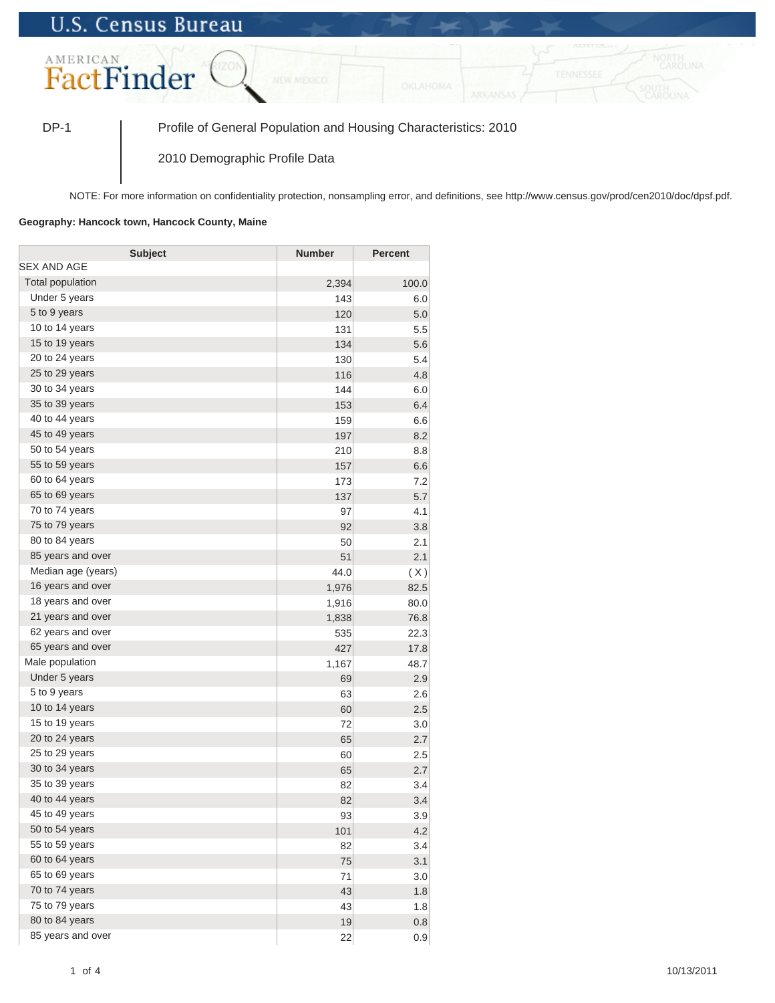## **U.S. Census Bureau**



DP-1 Profile of General Population and Housing Characteristics: 2010

2010 Demographic Profile Data

NOTE: For more information on confidentiality protection, nonsampling error, and definitions, see http://www.census.gov/prod/cen2010/doc/dpsf.pdf.

## **Geography: Hancock town, Hancock County, Maine**

| <b>Subject</b>     | <b>Number</b> | <b>Percent</b> |
|--------------------|---------------|----------------|
| SEX AND AGE        |               |                |
| Total population   | 2,394         | 100.0          |
| Under 5 years      | 143           | 6.0            |
| 5 to 9 years       | 120           | 5.0            |
| 10 to 14 years     | 131           | 5.5            |
| 15 to 19 years     | 134           | 5.6            |
| 20 to 24 years     | 130           | 5.4            |
| 25 to 29 years     | 116           | 4.8            |
| 30 to 34 years     | 144           | 6.0            |
| 35 to 39 years     | 153           | 6.4            |
| 40 to 44 years     | 159           | 6.6            |
| 45 to 49 years     | 197           | 8.2            |
| 50 to 54 years     | 210           | 8.8            |
| 55 to 59 years     | 157           | 6.6            |
| 60 to 64 years     | 173           | 7.2            |
| 65 to 69 years     | 137           | 5.7            |
| 70 to 74 years     | 97            | 4.1            |
| 75 to 79 years     | 92            | 3.8            |
| 80 to 84 years     | 50            | 2.1            |
| 85 years and over  | 51            | 2.1            |
| Median age (years) | 44.0          | (X)            |
| 16 years and over  | 1,976         | 82.5           |
| 18 years and over  | 1,916         | 80.0           |
| 21 years and over  | 1,838         | 76.8           |
| 62 years and over  | 535           | 22.3           |
| 65 years and over  | 427           | 17.8           |
| Male population    | 1,167         | 48.7           |
| Under 5 years      | 69            | 2.9            |
| 5 to 9 years       | 63            | 2.6            |
| 10 to 14 years     | 60            | 2.5            |
| 15 to 19 years     | 72            | 3.0            |
| 20 to 24 years     | 65            | 2.7            |
| 25 to 29 years     | 60            | 2.5            |
| 30 to 34 years     | 65            | 2.7            |
| 35 to 39 years     | 82            | 3.4            |
| 40 to 44 years     | 82            | 3.4            |
| 45 to 49 years     | 93            | 3.9            |
| 50 to 54 years     | 101           | 4.2            |
| 55 to 59 years     | 82            | 3.4            |
| 60 to 64 years     | 75            | 3.1            |
| 65 to 69 years     | 71            | 3.0            |
| 70 to 74 years     | 43            | 1.8            |
| 75 to 79 years     | 43            | 1.8            |
| 80 to 84 years     | 19            | 0.8            |
| 85 years and over  | 22            | 0.9            |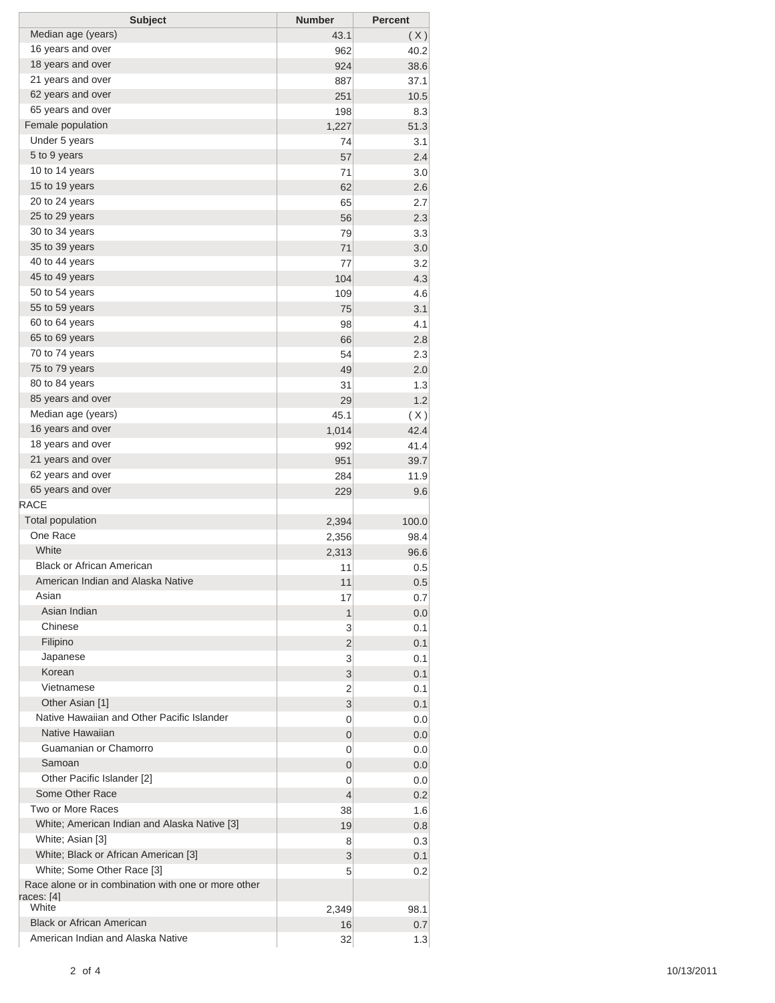| <b>Subject</b>                                      | <b>Number</b> | <b>Percent</b> |
|-----------------------------------------------------|---------------|----------------|
| Median age (years)                                  | 43.1          | (X)            |
| 16 years and over                                   | 962           | 40.2           |
| 18 years and over                                   | 924           | 38.6           |
| 21 years and over                                   | 887           | 37.1           |
| 62 years and over                                   | 251           | 10.5           |
| 65 years and over                                   | 198           | 8.3            |
| Female population                                   | 1,227         | 51.3           |
| Under 5 years                                       | 74            | 3.1            |
| 5 to 9 years                                        | 57            | 2.4            |
| 10 to 14 years                                      | 71            | 3.0            |
| 15 to 19 years                                      | 62            | 2.6            |
| 20 to 24 years                                      | 65            | 2.7            |
| 25 to 29 years                                      | 56            | 2.3            |
| 30 to 34 years                                      | 79            | 3.3            |
| 35 to 39 years                                      | 71            | 3.0            |
| 40 to 44 years                                      | 77            | 3.2            |
| 45 to 49 years                                      | 104           | 4.3            |
| 50 to 54 years                                      | 109           | 4.6            |
| 55 to 59 years                                      | 75            | 3.1            |
| 60 to 64 years                                      | 98            | 4.1            |
| 65 to 69 years                                      | 66            | 2.8            |
| 70 to 74 years                                      | 54            | 2.3            |
| 75 to 79 years                                      | 49            | 2.0            |
| 80 to 84 years                                      | 31            | 1.3            |
| 85 years and over                                   | 29            | 1.2            |
| Median age (years)                                  | 45.1          |                |
| 16 years and over                                   | 1,014         | (X)<br>42.4    |
| 18 years and over                                   |               |                |
| 21 years and over                                   | 992           | 41.4           |
| 62 years and over                                   | 951           | 39.7           |
| 65 years and over                                   | 284           | 11.9           |
| <b>RACE</b>                                         | 229           | 9.6            |
| <b>Total population</b>                             |               |                |
| One Race                                            | 2,394         | 100.0          |
| White                                               | 2,356         | 98.4           |
| <b>Black or African American</b>                    | 2,313         | 96.6           |
| American Indian and Alaska Native                   | 11            | 0.5            |
| Asian                                               | 11            | 0.5            |
| Asian Indian                                        | 17            | 0.7            |
|                                                     | 1             | 0.0            |
| Chinese                                             | 3             | 0.1            |
| Filipino                                            | 2             | 0.1            |
| Japanese                                            | 3             | 0.1            |
| Korean                                              | 3             | 0.1            |
| Vietnamese                                          | 2             | 0.1            |
| Other Asian [1]                                     | 3             | 0.1            |
| Native Hawaiian and Other Pacific Islander          | 0             | 0.0            |
| Native Hawaiian                                     | 0             | 0.0            |
| Guamanian or Chamorro                               | 0             | 0.0            |
| Samoan                                              | 0             | 0.0            |
| Other Pacific Islander [2]                          | 0             | 0.0            |
| Some Other Race                                     | 4             | 0.2            |
| Two or More Races                                   | 38            | 1.6            |
| White; American Indian and Alaska Native [3]        | 19            | 0.8            |
| White; Asian [3]                                    | 8             | 0.3            |
| White; Black or African American [3]                | 3             | 0.1            |
| White; Some Other Race [3]                          | 5             | 0.2            |
| Race alone or in combination with one or more other |               |                |
| races: [4]<br>White                                 |               |                |
|                                                     | 2,349         | 98.1           |
| <b>Black or African American</b>                    | 16            | 0.7            |
| American Indian and Alaska Native                   | 32            | 1.3            |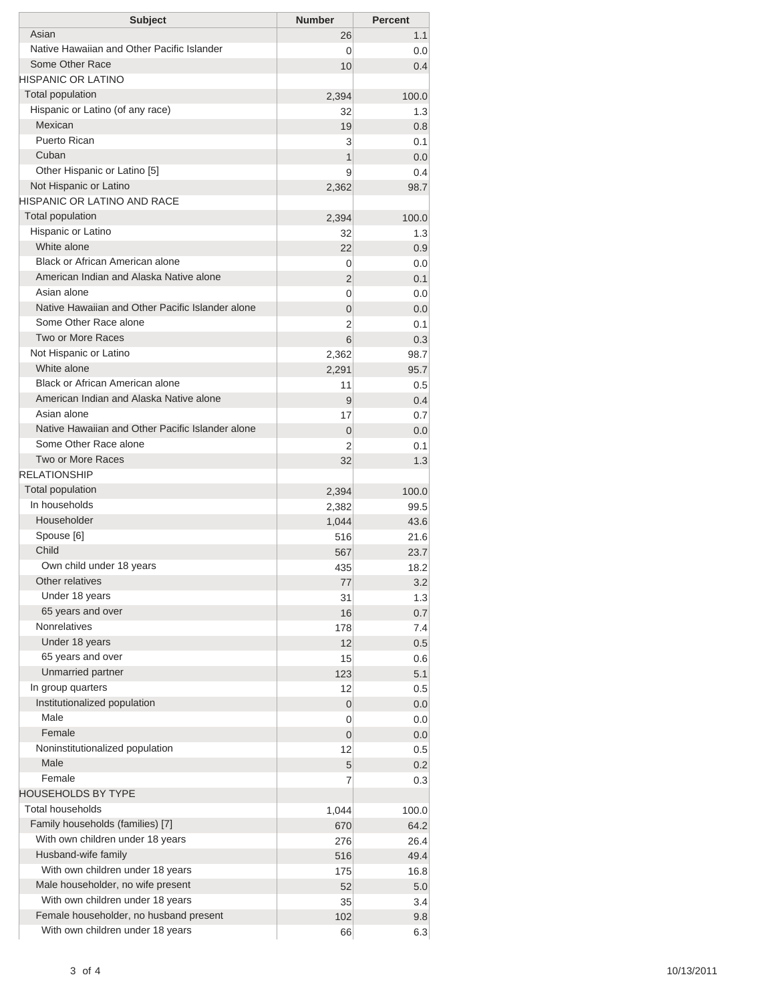| <b>Subject</b>                                                                    | <b>Number</b> | <b>Percent</b> |
|-----------------------------------------------------------------------------------|---------------|----------------|
| Asian                                                                             | 26            | 1.1            |
| Native Hawaiian and Other Pacific Islander                                        | 0             | 0.0            |
| Some Other Race                                                                   | 10            | 0.4            |
| HISPANIC OR LATINO                                                                |               |                |
| <b>Total population</b><br>Hispanic or Latino (of any race)                       | 2,394         | 100.0          |
| Mexican                                                                           | 32            | 1.3            |
| <b>Puerto Rican</b>                                                               | 19<br>3       | 0.8<br>0.1     |
| Cuban                                                                             | 1             | 0.0            |
| Other Hispanic or Latino [5]                                                      | 9             | 0.4            |
| Not Hispanic or Latino                                                            | 2,362         | 98.7           |
| HISPANIC OR LATINO AND RACE                                                       |               |                |
| <b>Total population</b>                                                           | 2,394         | 100.0          |
| Hispanic or Latino                                                                | 32            | 1.3            |
| White alone                                                                       | 22            | 0.9            |
| <b>Black or African American alone</b>                                            | 0             | 0.0            |
| American Indian and Alaska Native alone                                           | 2             | 0.1            |
| Asian alone                                                                       | 0             | 0.0            |
| Native Hawaiian and Other Pacific Islander alone                                  | 0             | 0.0            |
| Some Other Race alone                                                             | 2             | 0.1            |
| <b>Two or More Races</b>                                                          | 6             | 0.3            |
| Not Hispanic or Latino                                                            | 2,362         | 98.7           |
| White alone                                                                       | 2,291         | 95.7           |
| <b>Black or African American alone</b><br>American Indian and Alaska Native alone | 11            | 0.5            |
| Asian alone                                                                       | 9             | 0.4            |
| Native Hawaiian and Other Pacific Islander alone                                  | 17            | 0.7            |
| Some Other Race alone                                                             | 0             | 0.0            |
| <b>Two or More Races</b>                                                          | 2<br>32       | 0.1<br>1.3     |
| <b>RELATIONSHIP</b>                                                               |               |                |
| Total population                                                                  | 2,394         | 100.0          |
| In households                                                                     | 2,382         | 99.5           |
| Householder                                                                       | 1,044         | 43.6           |
| Spouse [6]                                                                        | 516           | 21.6           |
| Child                                                                             | 567           | 23.7           |
| Own child under 18 years                                                          | 435           | 18.2           |
| Other relatives                                                                   | 77            | 3.2            |
| Under 18 years                                                                    | 31            | 1.3            |
| 65 years and over                                                                 | 16            | 0.7            |
| Nonrelatives                                                                      | 178           | 7.4            |
| Under 18 years                                                                    | 12            | 0.5            |
| 65 years and over                                                                 | 15            | 0.6            |
| Unmarried partner                                                                 | 123           | 5.1            |
| In group quarters                                                                 | 12            | 0.5            |
| Institutionalized population                                                      | 0             | 0.0            |
| Male<br>Female                                                                    | 0             | 0.0            |
| Noninstitutionalized population                                                   | 0             | 0.0            |
| Male                                                                              | 12            | 0.5            |
| Female                                                                            | 5<br>7        | 0.2<br>0.3     |
| HOUSEHOLDS BY TYPE                                                                |               |                |
| <b>Total households</b>                                                           | 1,044         | 100.0          |
| Family households (families) [7]                                                  | 670           | 64.2           |
| With own children under 18 years                                                  | 276           | 26.4           |
| Husband-wife family                                                               | 516           | 49.4           |
| With own children under 18 years                                                  | 175           | 16.8           |
| Male householder, no wife present                                                 | 52            | 5.0            |
| With own children under 18 years                                                  | 35            | 3.4            |
| Female householder, no husband present                                            | 102           | 9.8            |
| With own children under 18 years                                                  | 66            | 6.3            |